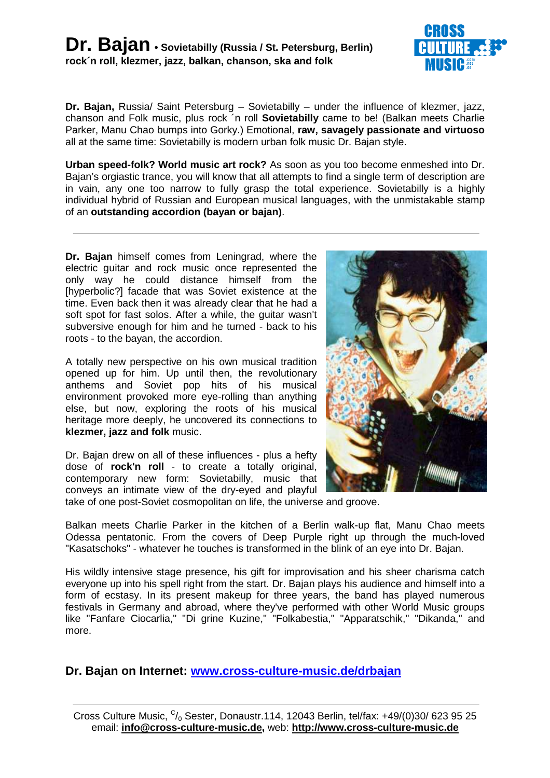

**Dr. Bajan,** Russia/ Saint Petersburg – Sovietabilly – under the influence of klezmer, jazz, chanson and Folk music, plus rock ´n roll **Sovietabilly** came to be! (Balkan meets Charlie Parker, Manu Chao bumps into Gorky.) Emotional, **raw, savagely passionate and virtuoso** all at the same time: Sovietabilly is modern urban folk music Dr. Bajan style.

**Urban speed-folk? World music art rock?** As soon as you too become enmeshed into Dr. Bajan's orgiastic trance, you will know that all attempts to find a single term of description are in vain, any one too narrow to fully grasp the total experience. Sovietabilly is a highly individual hybrid of Russian and European musical languages, with the unmistakable stamp of an **outstanding accordion (bayan or bajan)**.

**Dr. Bajan** himself comes from Leningrad, where the electric guitar and rock music once represented the only way he could distance himself from the [hyperbolic?] facade that was Soviet existence at the time. Even back then it was already clear that he had a soft spot for fast solos. After a while, the guitar wasn't subversive enough for him and he turned - back to his roots - to the bayan, the accordion.

A totally new perspective on his own musical tradition opened up for him. Up until then, the revolutionary anthems and Soviet pop hits of his musical environment provoked more eye-rolling than anything else, but now, exploring the roots of his musical heritage more deeply, he uncovered its connections to **klezmer, jazz and folk** music.

Dr. Bajan drew on all of these influences - plus a hefty dose of **rock'n roll** - to create a totally original, contemporary new form: Sovietabilly, music that conveys an intimate view of the dry-eyed and playful



take of one post-Soviet cosmopolitan on life, the universe and groove.

Balkan meets Charlie Parker in the kitchen of a Berlin walk-up flat, Manu Chao meets Odessa pentatonic. From the covers of Deep Purple right up through the much-loved "Kasatschoks" - whatever he touches is transformed in the blink of an eye into Dr. Bajan.

His wildly intensive stage presence, his gift for improvisation and his sheer charisma catch everyone up into his spell right from the start. Dr. Bajan plays his audience and himself into a form of ecstasy. In its present makeup for three years, the band has played numerous festivals in Germany and abroad, where they've performed with other World Music groups like "Fanfare Ciocarlia," "Di grine Kuzine," "Folkabestia," "Apparatschik," "Dikanda," and more.

**Dr. Bajan on Internet: www.cross-culture-music.de/drbajan**

Cross Culture Music,  $C/0$  Sester, Donaustr.114, 12043 Berlin, tel/fax: +49/(0)30/ 623 95 25 email: **info@cross-culture-music.de,** web: **http://www.cross-culture-music.de**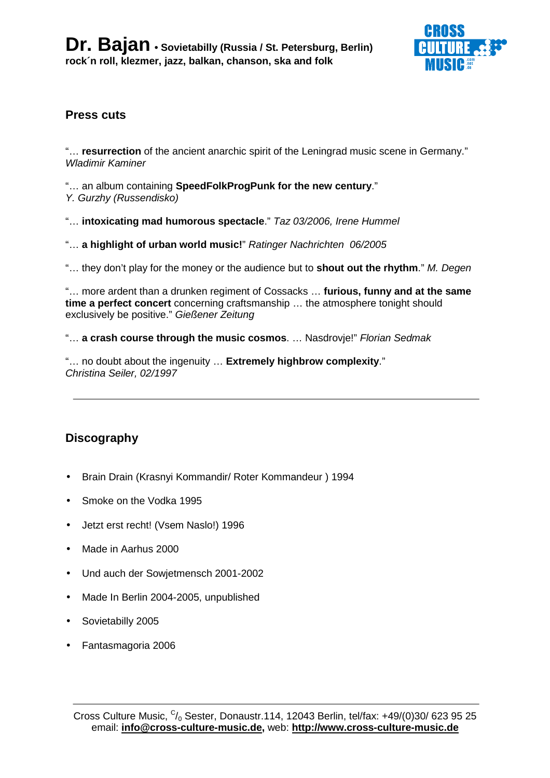

# **Press cuts**

"… **resurrection** of the ancient anarchic spirit of the Leningrad music scene in Germany." Wladimir Kaminer

"… an album containing **SpeedFolkProgPunk for the new century**." Y. Gurzhy (Russendisko)

"… **intoxicating mad humorous spectacle**." Taz 03/2006, Irene Hummel

"… **a highlight of urban world music!**" Ratinger Nachrichten 06/2005

"… they don't play for the money or the audience but to **shout out the rhythm**." M. Degen

"… more ardent than a drunken regiment of Cossacks … **furious, funny and at the same time a perfect concert** concerning craftsmanship … the atmosphere tonight should exclusively be positive." Gießener Zeitung

"… **a crash course through the music cosmos**. … Nasdrovje!" Florian Sedmak

"… no doubt about the ingenuity … **Extremely highbrow complexity**." Christina Seiler, 02/1997

# **Discography**

- Brain Drain (Krasnyi Kommandir/ Roter Kommandeur ) 1994
- Smoke on the Vodka 1995
- Jetzt erst recht! (Vsem Naslo!) 1996
- Made in Aarhus 2000
- Und auch der Sowjetmensch 2001-2002
- Made In Berlin 2004-2005, unpublished
- Sovietabilly 2005
- Fantasmagoria 2006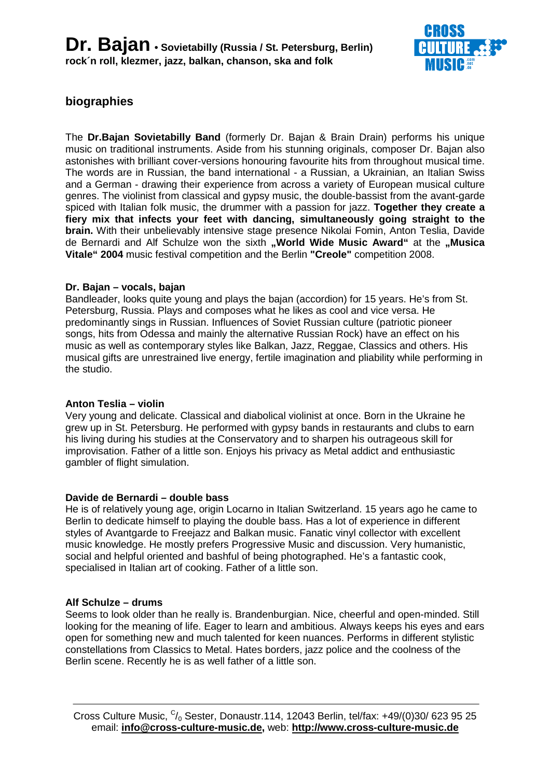

# **biographies**

The **Dr.Bajan Sovietabilly Band** (formerly Dr. Bajan & Brain Drain) performs his unique music on traditional instruments. Aside from his stunning originals, composer Dr. Bajan also astonishes with brilliant cover-versions honouring favourite hits from throughout musical time. The words are in Russian, the band international - a Russian, a Ukrainian, an Italian Swiss and a German - drawing their experience from across a variety of European musical culture genres. The violinist from classical and gypsy music, the double-bassist from the avant-garde spiced with Italian folk music, the drummer with a passion for jazz. **Together they create a fiery mix that infects your feet with dancing, simultaneously going straight to the brain.** With their unbelievably intensive stage presence Nikolai Fomin, Anton Teslia, Davide de Bernardi and Alf Schulze won the sixth "World Wide Music Award" at the "Musica **Vitale" 2004** music festival competition and the Berlin **"Creole"** competition 2008.

### **Dr. Bajan – vocals, bajan**

Bandleader, looks quite young and plays the bajan (accordion) for 15 years. He's from St. Petersburg, Russia. Plays and composes what he likes as cool and vice versa. He predominantly sings in Russian. Influences of Soviet Russian culture (patriotic pioneer songs, hits from Odessa and mainly the alternative Russian Rock) have an effect on his music as well as contemporary styles like Balkan, Jazz, Reggae, Classics and others. His musical gifts are unrestrained live energy, fertile imagination and pliability while performing in the studio.

### **Anton Teslia – violin**

Very young and delicate. Classical and diabolical violinist at once. Born in the Ukraine he grew up in St. Petersburg. He performed with gypsy bands in restaurants and clubs to earn his living during his studies at the Conservatory and to sharpen his outrageous skill for improvisation. Father of a little son. Enjoys his privacy as Metal addict and enthusiastic gambler of flight simulation.

#### **Davide de Bernardi – double bass**

He is of relatively young age, origin Locarno in Italian Switzerland. 15 years ago he came to Berlin to dedicate himself to playing the double bass. Has a lot of experience in different styles of Avantgarde to Freejazz and Balkan music. Fanatic vinyl collector with excellent music knowledge. He mostly prefers Progressive Music and discussion. Very humanistic, social and helpful oriented and bashful of being photographed. He's a fantastic cook, specialised in Italian art of cooking. Father of a little son.

#### **Alf Schulze – drums**

Seems to look older than he really is. Brandenburgian. Nice, cheerful and open-minded. Still looking for the meaning of life. Eager to learn and ambitious. Always keeps his eyes and ears open for something new and much talented for keen nuances. Performs in different stylistic constellations from Classics to Metal. Hates borders, jazz police and the coolness of the Berlin scene. Recently he is as well father of a little son.

Cross Culture Music,  $C/0$  Sester, Donaustr.114, 12043 Berlin, tel/fax: +49/(0)30/ 623 95 25 email: **info@cross-culture-music.de,** web: **http://www.cross-culture-music.de**